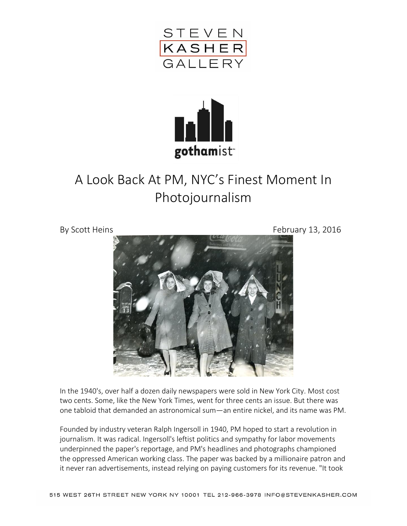



## A Look Back At PM, NYC's Finest Moment In Photojournalism

By Scott Heins February 13, 2016



In the 1940's, over half a dozen daily newspapers were sold in New York City. Most cost two cents. Some, like the New York Times, went for three cents an issue. But there was one tabloid that demanded an astronomical sum—an entire nickel, and its name was PM.

Founded by industry veteran Ralph Ingersoll in 1940, PM hoped to start a revolution in journalism. It was radical. Ingersoll's leftist politics and sympathy for labor movements underpinned the paper's reportage, and PM's headlines and photographs championed the oppressed American working class. The paper was backed by a millionaire patron and it never ran advertisements, instead relying on paying customers for its revenue. "It took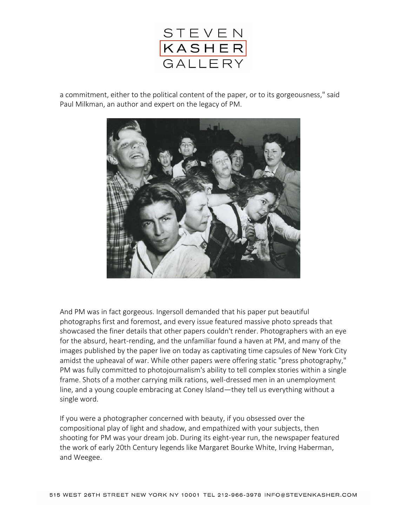

a commitment, either to the political content of the paper, or to its gorgeousness," said Paul Milkman, an author and expert on the legacy of PM.



And PM was in fact gorgeous. Ingersoll demanded that his paper put beautiful photographs first and foremost, and every issue featured massive photo spreads that showcased the finer details that other papers couldn't render. Photographers with an eye for the absurd, heart-rending, and the unfamiliar found a haven at PM, and many of the images published by the paper live on today as captivating time capsules of New York City amidst the upheaval of war. While other papers were offering static "press photography," PM was fully committed to photojournalism's ability to tell complex stories within a single frame. Shots of a mother carrying milk rations, well-dressed men in an unemployment line, and a young couple embracing at Coney Island—they tell us everything without a single word.

If you were a photographer concerned with beauty, if you obsessed over the compositional play of light and shadow, and empathized with your subjects, then shooting for PM was your dream job. During its eight-year run, the newspaper featured the work of early 20th Century legends like Margaret Bourke White, Irving Haberman, and Weegee.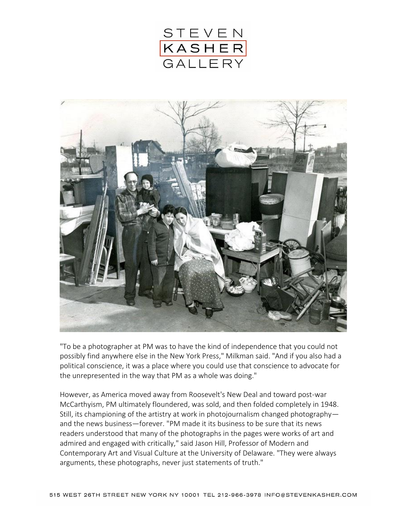



"To be a photographer at PM was to have the kind of independence that you could not possibly find anywhere else in the New York Press," Milkman said. "And if you also had a political conscience, it was a place where you could use that conscience to advocate for the unrepresented in the way that PM as a whole was doing."

However, as America moved away from Roosevelt's New Deal and toward post-war McCarthyism, PM ultimately floundered, was sold, and then folded completely in 1948. Still, its championing of the artistry at work in photojournalism changed photography and the news business—forever. "PM made it its business to be sure that its news readers understood that many of the photographs in the pages were works of art and admired and engaged with critically," said Jason Hill, Professor of Modern and Contemporary Art and Visual Culture at the University of Delaware. "They were always arguments, these photographs, never just statements of truth."